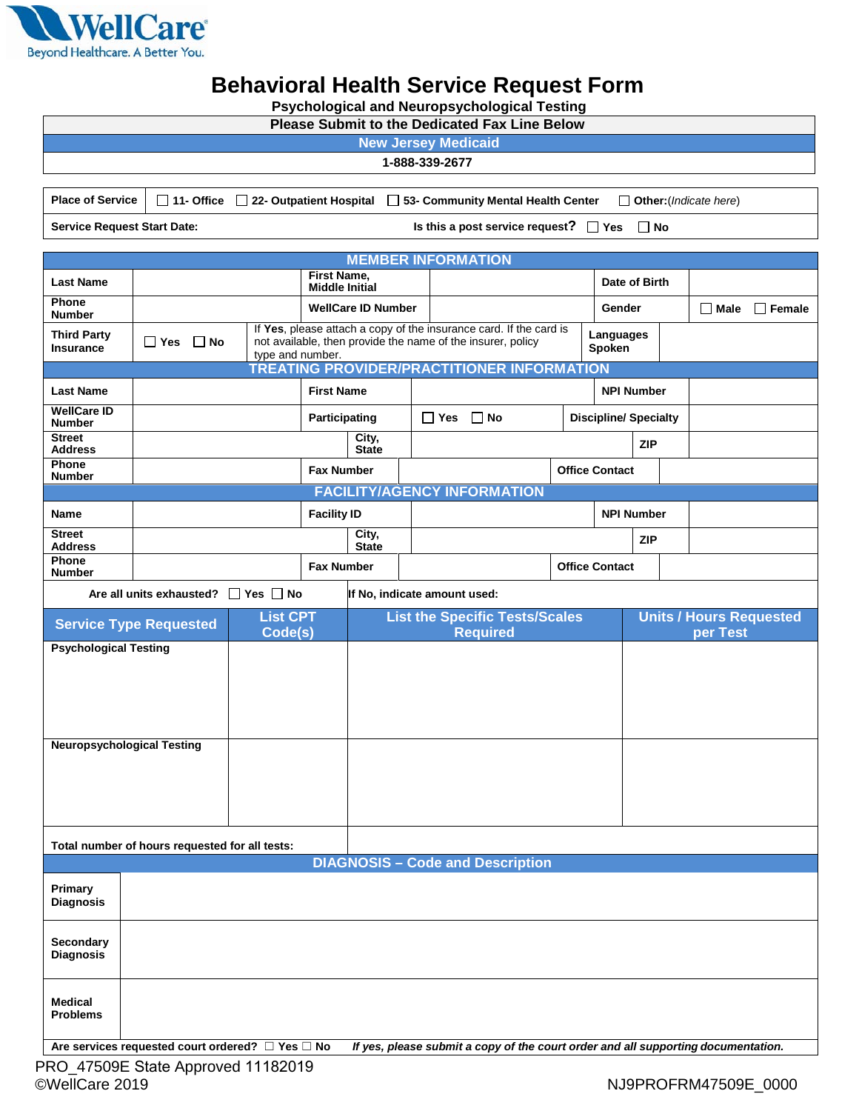

## **Behavioral Health Service Request Form**

|  |  |  | <b>Psychological and Neuropsychological Testing</b> |  |  |  |
|--|--|--|-----------------------------------------------------|--|--|--|
|  |  |  |                                                     |  |  |  |

| <b>Please Submit to the Dedicated Fax Line Below</b>                                                                                               |                                                       |                       |                           |                                                                                                                                   |                                            |  |                                            |            |                              |               |  |
|----------------------------------------------------------------------------------------------------------------------------------------------------|-------------------------------------------------------|-----------------------|---------------------------|-----------------------------------------------------------------------------------------------------------------------------------|--------------------------------------------|--|--------------------------------------------|------------|------------------------------|---------------|--|
| <b>New Jersey Medicaid</b>                                                                                                                         |                                                       |                       |                           |                                                                                                                                   |                                            |  |                                            |            |                              |               |  |
|                                                                                                                                                    |                                                       |                       |                           |                                                                                                                                   | 1-888-339-2677                             |  |                                            |            |                              |               |  |
| <b>Place of Service</b><br>$\Box$ 11- Office $\Box$ 22- Outpatient Hospital<br>53- Community Mental Health Center<br>$\Box$ Other: (Indicate here) |                                                       |                       |                           |                                                                                                                                   |                                            |  |                                            |            |                              |               |  |
| <b>Service Request Start Date:</b>                                                                                                                 |                                                       |                       |                           |                                                                                                                                   | Is this a post service request? $\Box$ Yes |  |                                            |            | $\Box$ No                    |               |  |
|                                                                                                                                                    |                                                       |                       |                           |                                                                                                                                   | <b>MEMBER INFORMATION</b>                  |  |                                            |            |                              |               |  |
| <b>Last Name</b>                                                                                                                                   | First Name,<br>Date of Birth<br><b>Middle Initial</b> |                       |                           |                                                                                                                                   |                                            |  |                                            |            |                              |               |  |
| Phone<br><b>Number</b>                                                                                                                             |                                                       |                       | <b>WellCare ID Number</b> | Gender                                                                                                                            |                                            |  |                                            |            | $\Box$ Male                  | $\Box$ Female |  |
| <b>Third Party</b><br><b>Insurance</b>                                                                                                             | $\Box$ Yes<br>$\Box$ No                               |                       |                           | If Yes, please attach a copy of the insurance card. If the card is<br>not available, then provide the name of the insurer, policy |                                            |  | Languages<br>Spoken                        |            |                              |               |  |
| type and number.<br>TREATING PROVIDER/PRACTITIONER INFORMATION                                                                                     |                                                       |                       |                           |                                                                                                                                   |                                            |  |                                            |            |                              |               |  |
| <b>Last Name</b>                                                                                                                                   |                                                       |                       | <b>First Name</b>         |                                                                                                                                   |                                            |  |                                            |            | <b>NPI Number</b>            |               |  |
| <b>WellCare ID</b><br><b>Number</b>                                                                                                                |                                                       |                       | Participating             |                                                                                                                                   | $\Box$ Yes $\Box$ No                       |  |                                            |            | <b>Discipline/ Specialty</b> |               |  |
| <b>Street</b><br><b>Address</b>                                                                                                                    |                                                       |                       |                           | City,<br><b>State</b>                                                                                                             |                                            |  |                                            |            | <b>ZIP</b>                   |               |  |
| Phone<br><b>Number</b>                                                                                                                             |                                                       |                       | <b>Fax Number</b>         |                                                                                                                                   | <b>Office Contact</b>                      |  |                                            |            |                              |               |  |
|                                                                                                                                                    |                                                       |                       |                           |                                                                                                                                   | <b>FACILITY/AGENCY INFORMATION</b>         |  |                                            |            |                              |               |  |
| Name                                                                                                                                               |                                                       |                       | <b>Facility ID</b>        |                                                                                                                                   |                                            |  |                                            |            | <b>NPI Number</b>            |               |  |
| <b>Street</b><br><b>Address</b>                                                                                                                    |                                                       | City,<br><b>State</b> |                           |                                                                                                                                   |                                            |  |                                            | <b>ZIP</b> |                              |               |  |
| Phone<br><b>Number</b>                                                                                                                             |                                                       | <b>Fax Number</b>     |                           | <b>Office Contact</b>                                                                                                             |                                            |  |                                            |            |                              |               |  |
|                                                                                                                                                    | Are all units exhausted? $\Box$ Yes $\Box$ No         |                       |                           |                                                                                                                                   | If No, indicate amount used:               |  |                                            |            |                              |               |  |
| <b>Service Type Requested</b>                                                                                                                      | <b>List CPT</b><br>Code(s)                            |                       |                           | <b>List the Specific Tests/Scales</b><br><b>Required</b>                                                                          |                                            |  | <b>Units / Hours Requested</b><br>per Test |            |                              |               |  |
| <b>Psychological Testing</b>                                                                                                                       |                                                       |                       |                           |                                                                                                                                   |                                            |  |                                            |            |                              |               |  |
|                                                                                                                                                    |                                                       |                       |                           |                                                                                                                                   |                                            |  |                                            |            |                              |               |  |
|                                                                                                                                                    |                                                       |                       |                           |                                                                                                                                   |                                            |  |                                            |            |                              |               |  |
|                                                                                                                                                    |                                                       |                       |                           |                                                                                                                                   |                                            |  |                                            |            |                              |               |  |
| <b>Neuropsychological Testing</b>                                                                                                                  |                                                       |                       |                           |                                                                                                                                   |                                            |  |                                            |            |                              |               |  |
|                                                                                                                                                    |                                                       |                       |                           |                                                                                                                                   |                                            |  |                                            |            |                              |               |  |
|                                                                                                                                                    |                                                       |                       |                           |                                                                                                                                   |                                            |  |                                            |            |                              |               |  |
| Total number of hours requested for all tests:                                                                                                     |                                                       |                       |                           |                                                                                                                                   |                                            |  |                                            |            |                              |               |  |
| <b>DIAGNOSIS - Code and Description</b>                                                                                                            |                                                       |                       |                           |                                                                                                                                   |                                            |  |                                            |            |                              |               |  |
| Primary                                                                                                                                            |                                                       |                       |                           |                                                                                                                                   |                                            |  |                                            |            |                              |               |  |
| <b>Diagnosis</b>                                                                                                                                   |                                                       |                       |                           |                                                                                                                                   |                                            |  |                                            |            |                              |               |  |
| Secondary<br><b>Diagnosis</b>                                                                                                                      |                                                       |                       |                           |                                                                                                                                   |                                            |  |                                            |            |                              |               |  |
| <b>Medical</b><br><b>Problems</b>                                                                                                                  |                                                       |                       |                           |                                                                                                                                   |                                            |  |                                            |            |                              |               |  |
| If yes, please submit a copy of the court order and all supporting documentation.<br>Are services requested court ordered? $\Box$ Yes $\Box$ No    |                                                       |                       |                           |                                                                                                                                   |                                            |  |                                            |            |                              |               |  |